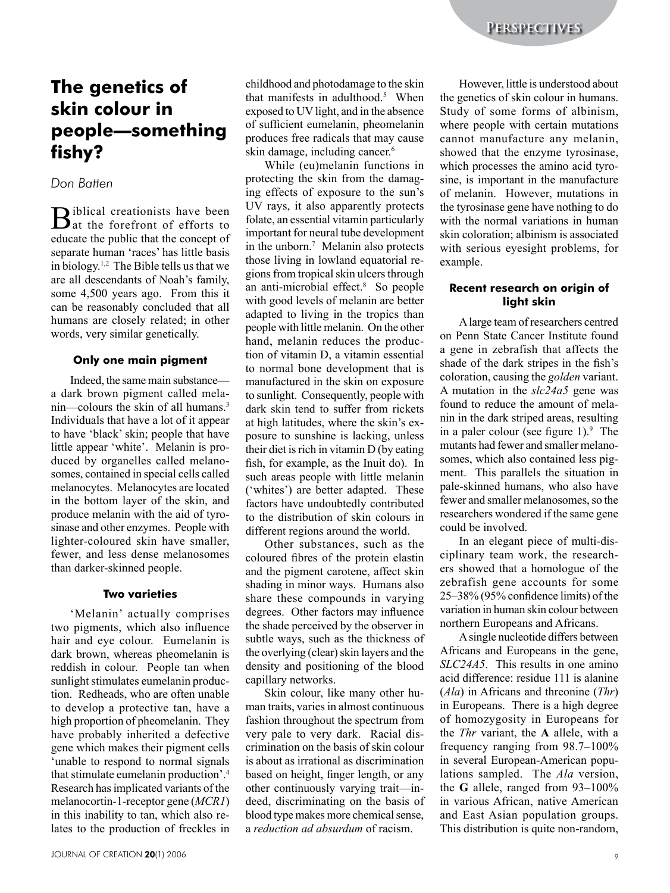# **The genetics of skin colour in people—something fishy?**

## *Don Batten*

Biblical creationists have been<br>at the forefront of efforts to educate the public that the concept of separate human 'races' has little basis in biology.1,2 The Bible tells us that we are all descendants of Noah's family, some 4,500 years ago. From this it can be reasonably concluded that all humans are closely related; in other words, very similar genetically.

#### **Only one main pigment**

Indeed, the same main substance a dark brown pigment called melanin—colours the skin of all humans.<sup>3</sup> Individuals that have a lot of it appear to have 'black' skin; people that have little appear 'white'. Melanin is produced by organelles called melanosomes, contained in special cells called melanocytes. Melanocytes are located in the bottom layer of the skin, and produce melanin with the aid of tyrosinase and other enzymes. People with lighter-coloured skin have smaller, fewer, and less dense melanosomes than darker-skinned people.

#### **Two varieties**

'Melanin' actually comprises two pigments, which also influence hair and eye colour. Eumelanin is dark brown, whereas pheomelanin is reddish in colour. People tan when sunlight stimulates eumelanin production. Redheads, who are often unable to develop a protective tan, have a high proportion of pheomelanin. They have probably inherited a defective gene which makes their pigment cells 'unable to respond to normal signals that stimulate eumelanin production'.4 Research has implicated variants of the melanocortin-1-receptor gene (*MCR1*) in this inability to tan, which also relates to the production of freckles in childhood and photodamage to the skin that manifests in adulthood. $5$  When exposed to UV light, and in the absence of sufficient eumelanin, pheomelanin produces free radicals that may cause skin damage, including cancer.<sup>6</sup>

While (eu)melanin functions in protecting the skin from the damaging effects of exposure to the sun's UV rays, it also apparently protects folate, an essential vitamin particularly important for neural tube development in the unborn.<sup>7</sup> Melanin also protects those living in lowland equatorial regions from tropical skin ulcers through an anti-microbial effect.<sup>8</sup> So people with good levels of melanin are better adapted to living in the tropics than people with little melanin. On the other hand, melanin reduces the production of vitamin D, a vitamin essential to normal bone development that is manufactured in the skin on exposure to sunlight. Consequently, people with dark skin tend to suffer from rickets at high latitudes, where the skin's exposure to sunshine is lacking, unless their diet is rich in vitamin D (by eating fish, for example, as the Inuit do). In such areas people with little melanin ('whites') are better adapted. These factors have undoubtedly contributed to the distribution of skin colours in different regions around the world.

Other substances, such as the coloured fibres of the protein elastin and the pigment carotene, affect skin shading in minor ways. Humans also share these compounds in varying degrees. Other factors may influence the shade perceived by the observer in subtle ways, such as the thickness of the overlying (clear) skin layers and the density and positioning of the blood capillary networks.

Skin colour, like many other human traits, varies in almost continuous fashion throughout the spectrum from very pale to very dark. Racial discrimination on the basis of skin colour is about as irrational as discrimination based on height, finger length, or any other continuously varying trait—indeed, discriminating on the basis of blood type makes more chemical sense, a *reduction ad absurdum* of racism.

However, little is understood about the genetics of skin colour in humans. Study of some forms of albinism, where people with certain mutations cannot manufacture any melanin, showed that the enzyme tyrosinase, which processes the amino acid tyrosine, is important in the manufacture of melanin. However, mutations in the tyrosinase gene have nothing to do with the normal variations in human skin coloration; albinism is associated with serious eyesight problems, for example.

### **Recent research on origin of light skin**

A large team of researchers centred on Penn State Cancer Institute found a gene in zebrafish that affects the shade of the dark stripes in the fish's coloration, causing the *golden* variant. A mutation in the *slc24a5* gene was found to reduce the amount of melanin in the dark striped areas, resulting in a paler colour (see figure  $1$ ). The mutants had fewer and smaller melanosomes, which also contained less pigment. This parallels the situation in pale-skinned humans, who also have fewer and smaller melanosomes, so the researchers wondered if the same gene could be involved.

In an elegant piece of multi-disciplinary team work, the researchers showed that a homologue of the zebrafish gene accounts for some 25–38% (95% confidence limits) of the variation in human skin colour between northern Europeans and Africans.

A single nucleotide differs between Africans and Europeans in the gene, *SLC24A5*. This results in one amino acid difference: residue 111 is alanine (*Ala*) in Africans and threonine (*Thr*) in Europeans. There is a high degree of homozygosity in Europeans for the *Thr* variant, the **A** allele, with a frequency ranging from 98.7–100% in several European-American populations sampled. The *Ala* version, the **G** allele, ranged from 93–100% in various African, native American and East Asian population groups. This distribution is quite non-random,